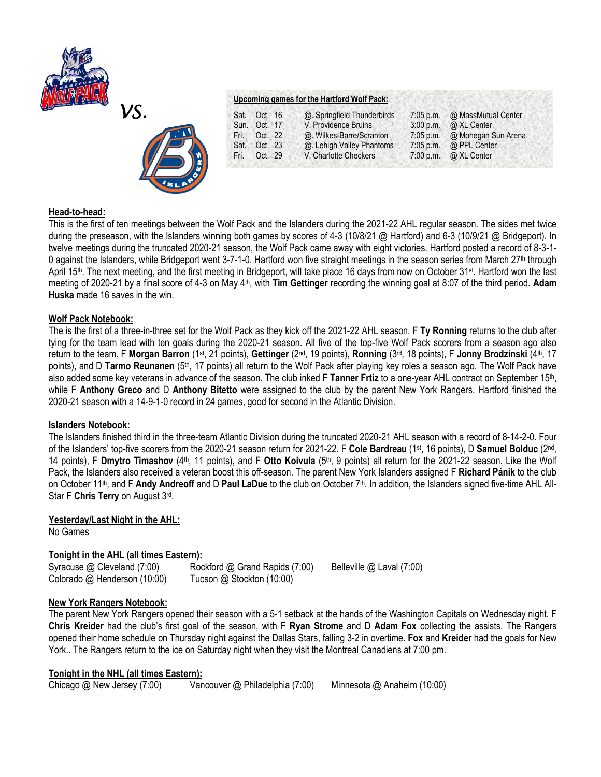



### **Upcoming games for the Hartford Wolf Pack:**

| Sat. | Oct. 16      | @. Springfield Thunderbirds | $7:05$ p.m. | @ MassMutual Center |
|------|--------------|-----------------------------|-------------|---------------------|
|      | Sun. Oct. 17 | V. Providence Bruins        | 3:00 p.m.   | @ XL Center         |
| Fri. | Oct. 22      | @. Wilkes-Barre/Scranton    | $7:05$ p.m. | @ Mohegan Sun Arena |
| Sat. | Oct. 23      | @. Lehigh Valley Phantoms   | $7:05$ p.m. | @ PPL Center        |
| Fri. | Oct. 29      | V. Charlotte Checkers       | 7:00 p.m.   | @ XL Center         |
|      |              |                             |             |                     |

## **Head-to-head:**

This is the first of ten meetings between the Wolf Pack and the Islanders during the 2021-22 AHL regular season. The sides met twice during the preseason, with the Islanders winning both games by scores of 4-3 (10/8/21 @ Hartford) and 6-3 (10/9/21 @ Bridgeport). In twelve meetings during the truncated 2020-21 season, the Wolf Pack came away with eight victories. Hartford posted a record of 8-3-1- 0 against the Islanders, while Bridgeport went 3-7-1-0. Hartford won five straight meetings in the season series from March 27<sup>th</sup> through April 15<sup>th</sup>. The next meeting, and the first meeting in Bridgeport, will take place 16 days from now on October 31<sup>st</sup>. Hartford won the last meeting of 2020-21 by a final score of 4-3 on May 4th, with **Tim Gettinger** recording the winning goal at 8:07 of the third period. **Adam Huska** made 16 saves in the win.

## **Wolf Pack Notebook:**

The is the first of a three-in-three set for the Wolf Pack as they kick off the 2021-22 AHL season. F **Ty Ronning** returns to the club after tying for the team lead with ten goals during the 2020-21 season. All five of the top-five Wolf Pack scorers from a season ago also return to the team. F Morgan Barron (1st, 21 points), Gettinger (2<sup>nd</sup>, 19 points), Ronning (3<sup>rd</sup>, 18 points), F Jonny Brodzinski (4<sup>th</sup>, 17 points), and D **Tarmo Reunanen** (5th, 17 points) all return to the Wolf Pack after playing key roles a season ago. The Wolf Pack have also added some key veterans in advance of the season. The club inked F Tanner Frtiz to a one-year AHL contract on September 15<sup>th</sup>, while F **Anthony Greco** and D **Anthony Bitetto** were assigned to the club by the parent New York Rangers. Hartford finished the 2020-21 season with a 14-9-1-0 record in 24 games, good for second in the Atlantic Division.

### **Islanders Notebook:**

The Islanders finished third in the three-team Atlantic Division during the truncated 2020-21 AHL season with a record of 8-14-2-0. Four of the Islanders' top-five scorers from the 2020-21 season return for 2021-22. F **Cole Bardreau** (1st, 16 points), D **Samuel Bolduc** (2nd , 14 points), F Dmytro Timashov (4<sup>th</sup>, 11 points), and F Otto Koivula (5<sup>th</sup>, 9 points) all return for the 2021-22 season. Like the Wolf Pack, the Islanders also received a veteran boost this off-season. The parent New York Islanders assigned F **Richard Pánik** to the club on October 11<sup>th</sup>, and F Andy Andreoff and D Paul LaDue to the club on October 7<sup>th</sup>. In addition, the Islanders signed five-time AHL All-Star F **Chris Terry** on August 3rd .

# **Yesterday/Last Night in the AHL:**

No Games

# **Tonight in the AHL (all times Eastern):**

Syracuse @ Cleveland (7:00) Rockford @ Grand Rapids (7:00) Belleville @ Laval (7:00) Colorado @ Henderson (10:00)Tucson @ Stockton (10:00)

# **New York Rangers Notebook:**

The parent New York Rangers opened their season with a 5-1 setback at the hands of the Washington Capitals on Wednesday night. F **Chris Kreider** had the club's first goal of the season, with F **Ryan Strome** and D **Adam Fox** collecting the assists. The Rangers opened their home schedule on Thursday night against the Dallas Stars, falling 3-2 in overtime. **Fox** and **Kreider** had the goals for New York.. The Rangers return to the ice on Saturday night when they visit the Montreal Canadiens at 7:00 pm.

# **Tonight in the NHL (all times Eastern):**

Chicago @ New Jersey (7:00) Vancouver @ Philadelphia (7:00) Minnesota @ Anaheim (10:00)